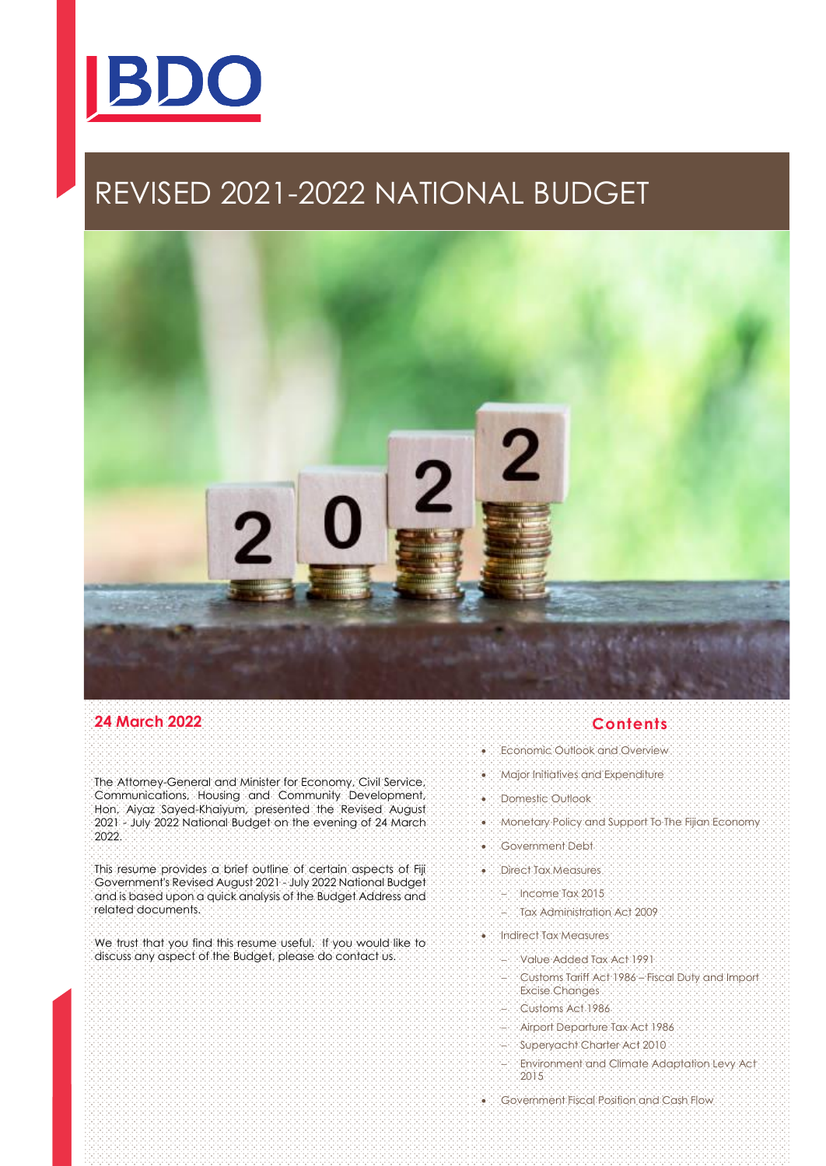

# REVISED 2021-2022 NATIONAL BUDGET



## **24 March 2022**

The Attorney-General and Minister for Economy, Civil Service, Communications, Housing and Community Development, Hon. Aiyaz Sayed-Khaiyum, presented the Revised August 2021 - July 2022 National Budget on the evening of 24 March 2022.

This resume provides a brief outline of certain aspects of Fiji Government's Revised August 2021 - July 2022 National Budget and is based upon a quick analysis of the Budget Address and related documents.

We trust that you find this resume useful. If you would like to discuss any aspect of the Budget, please do contact us.

## **Contents**

- Economic Outlook and Overview
- Major Initiatives and Expenditure
- Domestic Outlook
- Monetary Policy and Support To The Fijian Economy
- Government Debt
- Direct Tax Measures
	- − Income Tax 2015
	- − Tax Administration Act 2009
- Indirect Tax Measures
	- − Value Added Tax Act 1991
	- − Customs Tariff Act 1986 Fiscal Duty and Import Excise Changes
	- − Customs Act 1986
	- − Airport Departure Tax Act 1986
	- − Superyacht Charter Act 2010
	- − Environment and Climate Adaptation Levy Act 2015
- Government Fiscal Position and Cash Flow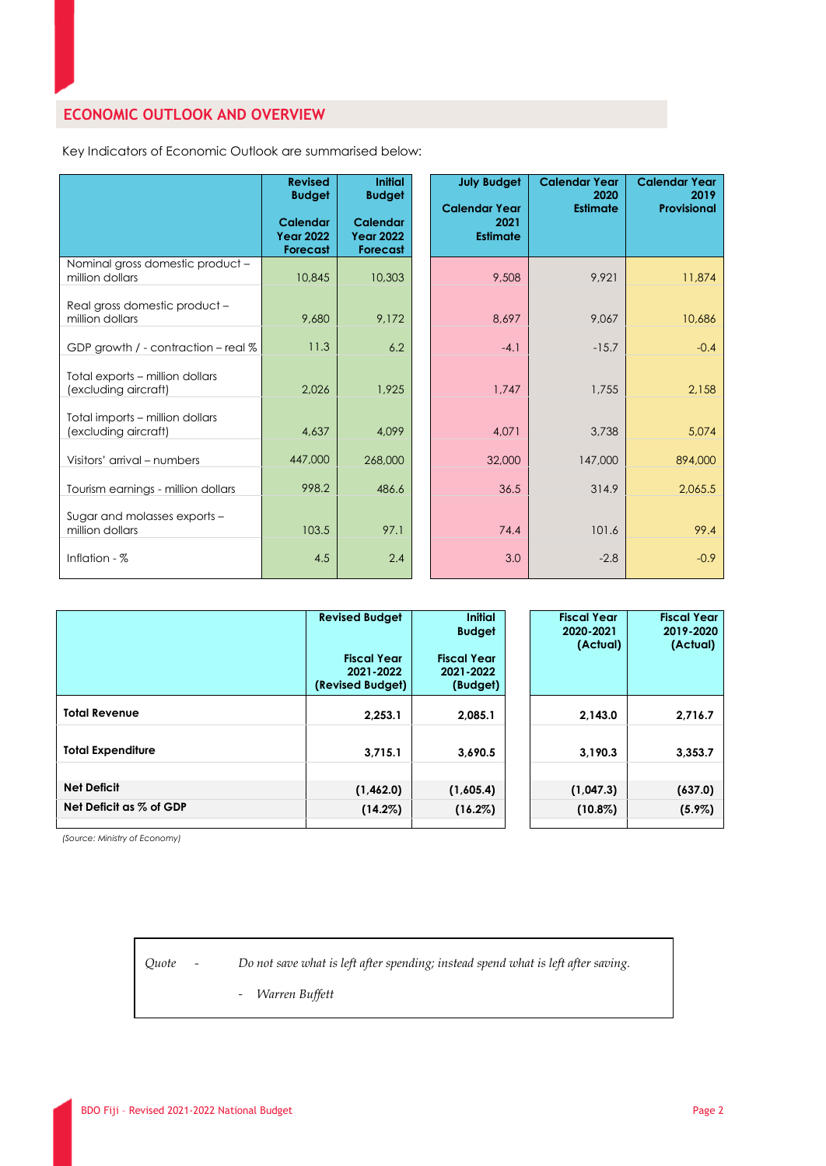## **ECONOMIC OUTLOOK AND OVERVIEW**

Key Indicators of Economic Outlook are summarised below:

|                                                         | <b>Revised</b><br><b>Budget</b><br><b>Calendar</b><br><b>Year 2022</b><br><b>Forecast</b> | <b>Initial</b><br><b>Budget</b><br><b>Calendar</b><br><b>Year 2022</b><br><b>Forecast</b> | <b>July Budget</b><br><b>Calendar Year</b><br>2021<br><b>Estimate</b> | <b>Calendar Year</b><br>2020<br><b>Estimate</b> | <b>Calendar Year</b><br>2019<br>Provisional |
|---------------------------------------------------------|-------------------------------------------------------------------------------------------|-------------------------------------------------------------------------------------------|-----------------------------------------------------------------------|-------------------------------------------------|---------------------------------------------|
| Nominal gross domestic product -<br>million dollars     | 10,845                                                                                    | 10,303                                                                                    | 9,508                                                                 | 9.921                                           | 11,874                                      |
| Real gross domestic product -<br>million dollars        | 9,680                                                                                     | 9,172                                                                                     | 8,697                                                                 | 9,067                                           | 10,686                                      |
| GDP growth / - contraction - real %                     | 11.3                                                                                      | 6.2                                                                                       | $-4.1$                                                                | $-15.7$                                         | $-0.4$                                      |
| Total exports - million dollars<br>(excluding aircraft) | 2,026                                                                                     | 1,925                                                                                     | 1,747                                                                 | 1,755                                           | 2,158                                       |
| Total imports - million dollars<br>(excluding aircraft) | 4,637                                                                                     | 4,099                                                                                     | 4,071                                                                 | 3,738                                           | 5,074                                       |
| Visitors' arrival – numbers                             | 447,000                                                                                   | 268,000                                                                                   | 32,000                                                                | 147,000                                         | 894,000                                     |
| Tourism earnings - million dollars                      | 998.2                                                                                     | 486.6                                                                                     | 36.5                                                                  | 314.9                                           | 2,065.5                                     |
| Sugar and molasses exports -<br>million dollars         | 103.5                                                                                     | 97.1                                                                                      | 74.4                                                                  | 101.6                                           | 99.4                                        |
| Inflation - $%$                                         | 4.5                                                                                       | 2.4                                                                                       | 3.0                                                                   | $-2.8$                                          | $-0.9$                                      |

|                          | <b>Revised Budget</b><br><b>Fiscal Year</b><br>2021-2022<br>(Revised Budget) | <b>Initial</b><br><b>Budget</b><br><b>Fiscal Year</b><br>2021-2022<br>(Budget) | <b>Fiscal Year</b><br>2020-2021<br>(Actual) | <b>Fiscal Year</b><br>2019-2020<br>(Actual) |
|--------------------------|------------------------------------------------------------------------------|--------------------------------------------------------------------------------|---------------------------------------------|---------------------------------------------|
| <b>Total Revenue</b>     | 2,253.1                                                                      | 2,085.1                                                                        | 2,143.0                                     | 2,716.7                                     |
| <b>Total Expenditure</b> | 3.715.1                                                                      | 3.690.5                                                                        | 3.190.3                                     | 3,353.7                                     |
| <b>Net Deficit</b>       | (1,462.0)                                                                    | (1,605.4)                                                                      | (1,047.3)                                   | (637.0)                                     |
| Net Deficit as % of GDP  | $(14.2\%)$                                                                   | $(16.2\%)$                                                                     | $(10.8\%)$                                  | $(5.9\%)$                                   |

*(Source: Ministry of Economy)*

*Quote - Do not save what is left after spending; instead spend what is left after saving.*

- *Warren Buffett*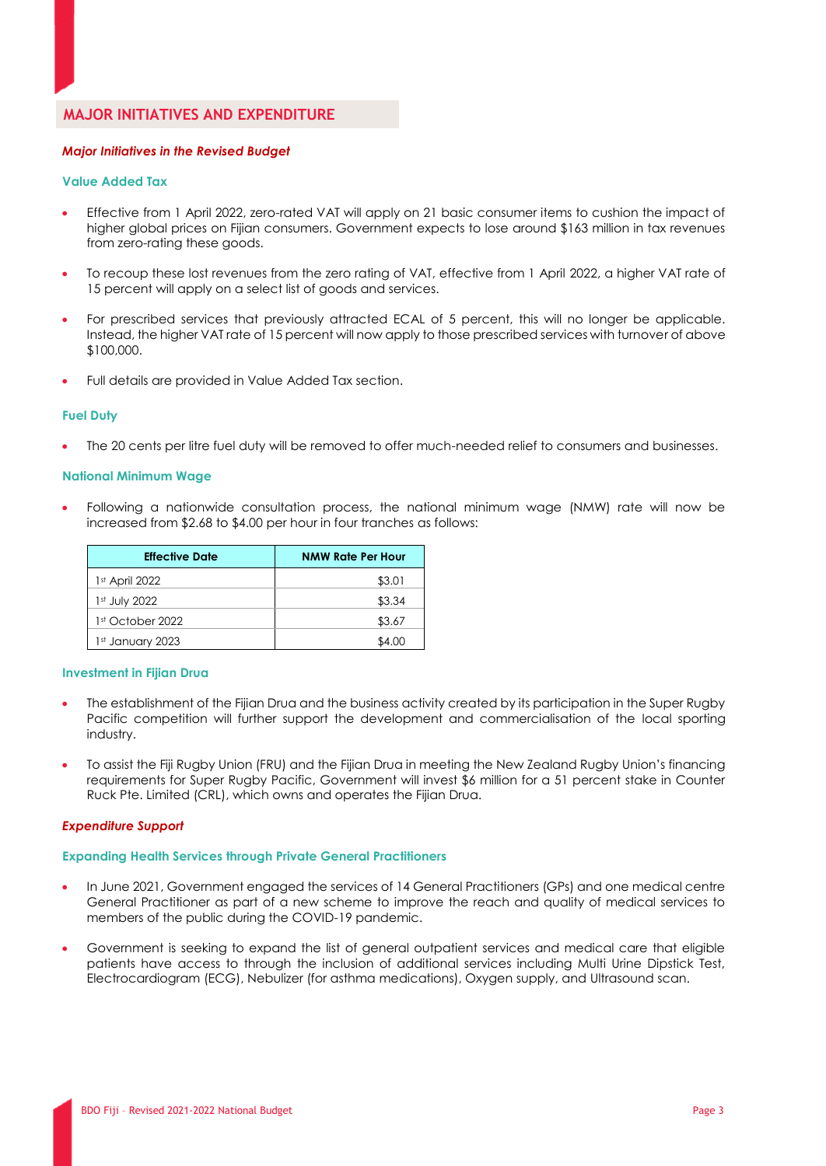## **MAJOR INITIATIVES AND EXPENDITURE**

#### *Major Initiatives in the Revised Budget*

#### **Value Added Tax**

- Effective from 1 April 2022, zero-rated VAT will apply on 21 basic consumer items to cushion the impact of higher global prices on Fijian consumers. Government expects to lose around \$163 million in tax revenues from zero-rating these goods.
- To recoup these lost revenues from the zero rating of VAT, effective from 1 April 2022, a higher VAT rate of 15 percent will apply on a select list of goods and services.
- For prescribed services that previously attracted ECAL of 5 percent, this will no longer be applicable. Instead, the higher VAT rate of 15 percent will now apply to those prescribed services with turnover of above \$100,000.
- Full details are provided in Value Added Tax section.

#### **Fuel Duty**

The 20 cents per litre fuel duty will be removed to offer much-needed relief to consumers and businesses.

#### **National Minimum Wage**

• Following a nationwide consultation process, the national minimum wage (NMW) rate will now be increased from \$2.68 to \$4.00 per hour in four tranches as follows:

| <b>Effective Date</b> | <b>NMW Rate Per Hour</b> |
|-----------------------|--------------------------|
| $1st$ April 2022      | \$3.01                   |
| 1st July 2022         | \$3.34                   |
| 1st October 2022      | \$3.67                   |
| 1st January 2023      | \$4.00                   |

#### **Investment in Fijian Drua**

- The establishment of the Fijian Drua and the business activity created by its participation in the Super Rugby Pacific competition will further support the development and commercialisation of the local sporting industry.
- To assist the Fiji Rugby Union (FRU) and the Fijian Drua in meeting the New Zealand Rugby Union's financing requirements for Super Rugby Pacific, Government will invest \$6 million for a 51 percent stake in Counter Ruck Pte. Limited (CRL), which owns and operates the Fijian Drua.

#### *Expenditure Support*

#### **Expanding Health Services through Private General Practitioners**

- In June 2021, Government engaged the services of 14 General Practitioners (GPs) and one medical centre General Practitioner as part of a new scheme to improve the reach and quality of medical services to members of the public during the COVID-19 pandemic.
- Government is seeking to expand the list of general outpatient services and medical care that eligible patients have access to through the inclusion of additional services including Multi Urine Dipstick Test, Electrocardiogram (ECG), Nebulizer (for asthma medications), Oxygen supply, and Ultrasound scan.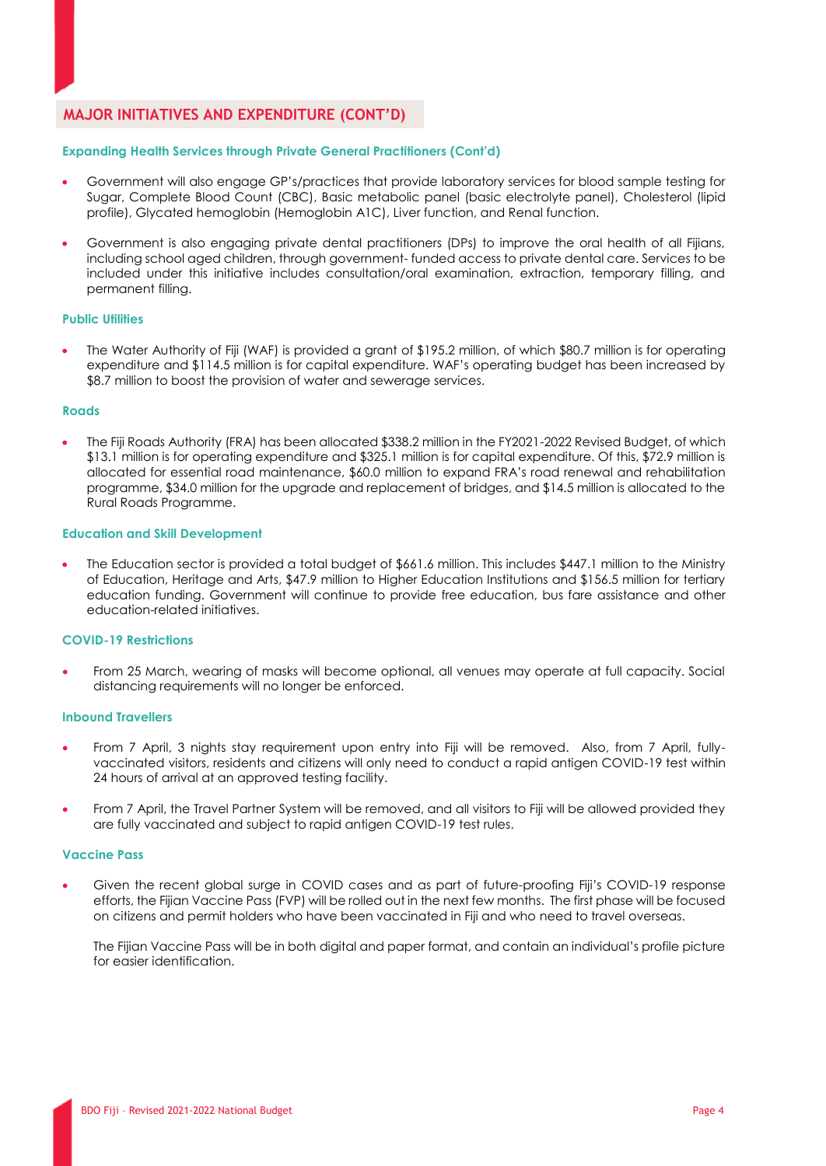## **MAJOR INITIATIVES AND EXPENDITURE (CONT'D)**

#### **Expanding Health Services through Private General Practitioners (Cont'd)**

- Government will also engage GP's/practices that provide laboratory services for blood sample testing for Sugar, Complete Blood Count (CBC), Basic metabolic panel (basic electrolyte panel), Cholesterol (lipid profile), Glycated hemoglobin (Hemoglobin A1C), Liver function, and Renal function.
- Government is also engaging private dental practitioners (DPs) to improve the oral health of all Fijians, including school aged children, through government- funded access to private dental care. Services to be included under this initiative includes consultation/oral examination, extraction, temporary filling, and permanent filling.

#### **Public Utilities**

• The Water Authority of Fiji (WAF) is provided a grant of \$195.2 million, of which \$80.7 million is for operating expenditure and \$114.5 million is for capital expenditure. WAF's operating budget has been increased by \$8.7 million to boost the provision of water and sewerage services.

#### **Roads**

• The Fiji Roads Authority (FRA) has been allocated \$338.2 million in the FY2021-2022 Revised Budget, of which \$13.1 million is for operating expenditure and \$325.1 million is for capital expenditure. Of this, \$72.9 million is allocated for essential road maintenance, \$60.0 million to expand FRA's road renewal and rehabilitation programme, \$34.0 million for the upgrade and replacement of bridges, and \$14.5 million is allocated to the Rural Roads Programme.

#### **Education and Skill Development**

• The Education sector is provided a total budget of \$661.6 million. This includes \$447.1 million to the Ministry of Education, Heritage and Arts, \$47.9 million to Higher Education Institutions and \$156.5 million for tertiary education funding. Government will continue to provide free education, bus fare assistance and other education-related initiatives.

#### **COVID-19 Restrictions**

• From 25 March, wearing of masks will become optional, all venues may operate at full capacity. Social distancing requirements will no longer be enforced.

#### **Inbound Travellers**

- From 7 April, 3 nights stay requirement upon entry into Fiji will be removed. Also, from 7 April, fullyvaccinated visitors, residents and citizens will only need to conduct a rapid antigen COVID-19 test within 24 hours of arrival at an approved testing facility.
- From 7 April, the Travel Partner System will be removed, and all visitors to Fiji will be allowed provided they are fully vaccinated and subject to rapid antigen COVID-19 test rules.

#### **Vaccine Pass**

• Given the recent global surge in COVID cases and as part of future-proofing Fiji's COVID-19 response efforts, the Fijian Vaccine Pass (FVP) will be rolled out in the next few months. The first phase will be focused on citizens and permit holders who have been vaccinated in Fiji and who need to travel overseas.

The Fijian Vaccine Pass will be in both digital and paper format, and contain an individual's profile picture for easier identification.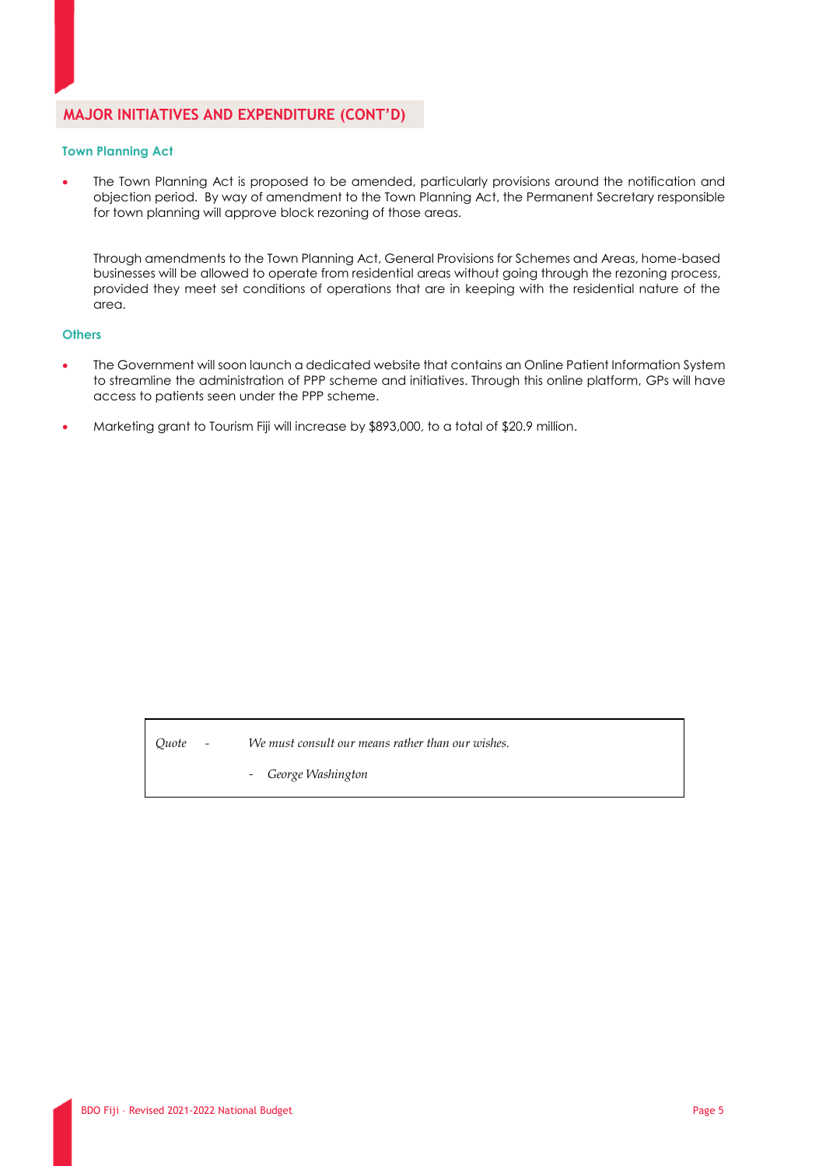## **MAJOR INITIATIVES AND EXPENDITURE (CONT'D)**

#### **Town Planning Act**

The Town Planning Act is proposed to be amended, particularly provisions around the notification and objection period. By way of amendment to the Town Planning Act, the Permanent Secretary responsible for town planning will approve block rezoning of those areas.

Through amendments to the Town Planning Act, General Provisions for Schemes and Areas, home-based businesses will be allowed to operate from residential areas without going through the rezoning process, provided they meet set conditions of operations that are in keeping with the residential nature of the area.

#### **Others**

- The Government will soon launch a dedicated website that contains an Online Patient Information System to streamline the administration of PPP scheme and initiatives. Through this online platform, GPs will have access to patients seen under the PPP scheme.
- Marketing grant to Tourism Fiji will increase by \$893,000, to a total of \$20.9 million.

*Quote - We must consult our means rather than our wishes.*

- *George Washington*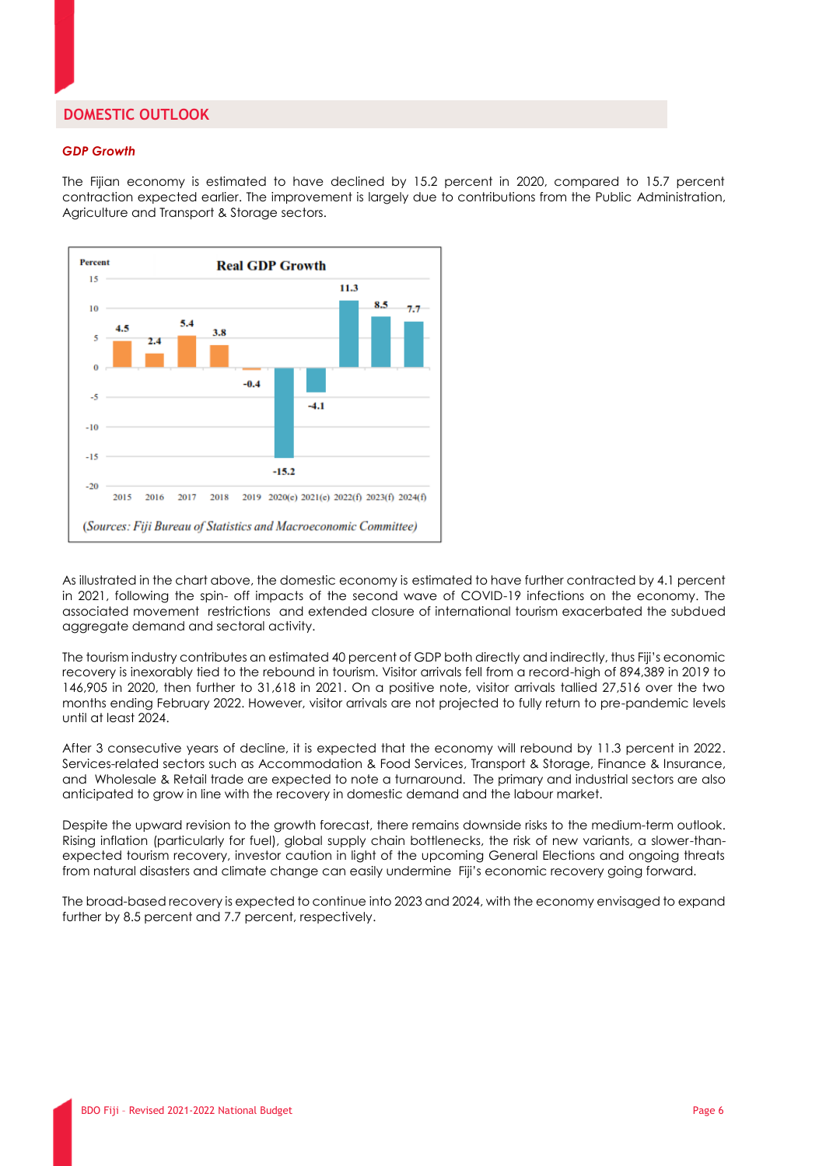## **DOMESTIC OUTLOOK**

#### *GDP Growth*

The Fijian economy is estimated to have declined by 15.2 percent in 2020, compared to 15.7 percent contraction expected earlier. The improvement is largely due to contributions from the Public Administration, Agriculture and Transport & Storage sectors.



As illustrated in the chart above, the domestic economy is estimated to have further contracted by 4.1 percent in 2021, following the spin- off impacts of the second wave of COVID-19 infections on the economy. The associated movement restrictions and extended closure of international tourism exacerbated the subdued aggregate demand and sectoral activity.

The tourism industry contributes an estimated 40 percent of GDP both directly and indirectly, thus Fiji's economic recovery is inexorably tied to the rebound in tourism. Visitor arrivals fell from a record-high of 894,389 in 2019 to 146,905 in 2020, then further to 31,618 in 2021. On a positive note, visitor arrivals tallied 27,516 over the two months ending February 2022. However, visitor arrivals are not projected to fully return to pre-pandemic levels until at least 2024.

After 3 consecutive years of decline, it is expected that the economy will rebound by 11.3 percent in 2022. Services-related sectors such as Accommodation & Food Services, Transport & Storage, Finance & Insurance, and Wholesale & Retail trade are expected to note a turnaround. The primary and industrial sectors are also anticipated to grow in line with the recovery in domestic demand and the labour market.

Despite the upward revision to the growth forecast, there remains downside risks to the medium-term outlook. Rising inflation (particularly for fuel), global supply chain bottlenecks, the risk of new variants, a slower-thanexpected tourism recovery, investor caution in light of the upcoming General Elections and ongoing threats from natural disasters and climate change can easily undermine Fiji's economic recovery going forward.

The broad-based recovery is expected to continue into 2023 and 2024, with the economy envisaged to expand further by 8.5 percent and 7.7 percent, respectively.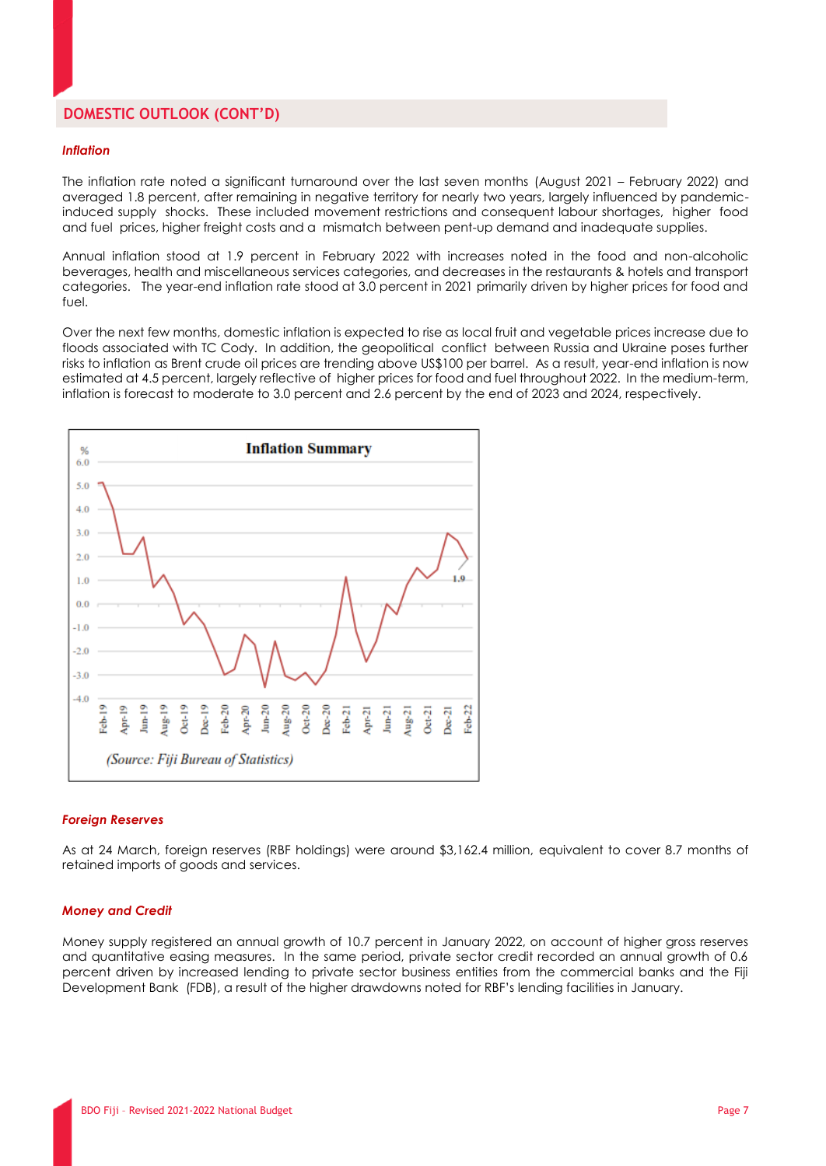## **DOMESTIC OUTLOOK (CONT'D)**

#### *Inflation*

The inflation rate noted a significant turnaround over the last seven months (August 2021 – February 2022) and averaged 1.8 percent, after remaining in negative territory for nearly two years, largely influenced by pandemicinduced supply shocks. These included movement restrictions and consequent labour shortages, higher food and fuel prices, higher freight costs and a mismatch between pent-up demand and inadequate supplies.

Annual inflation stood at 1.9 percent in February 2022 with increases noted in the food and non-alcoholic beverages, health and miscellaneous services categories, and decreases in the restaurants & hotels and transport categories. The year-end inflation rate stood at 3.0 percent in 2021 primarily driven by higher prices for food and fuel.

Over the next few months, domestic inflation is expected to rise as local fruit and vegetable prices increase due to floods associated with TC Cody. In addition, the geopolitical conflict between Russia and Ukraine poses further risks to inflation as Brent crude oil prices are trending above US\$100 per barrel. As a result, year-end inflation is now estimated at 4.5 percent, largely reflective of higher prices for food and fuel throughout 2022. In the medium-term, inflation is forecast to moderate to 3.0 percent and 2.6 percent by the end of 2023 and 2024, respectively.



#### *Foreign Reserves*

As at 24 March, foreign reserves (RBF holdings) were around \$3,162.4 million, equivalent to cover 8.7 months of retained imports of goods and services.

#### *Money and Credit*

Money supply registered an annual growth of 10.7 percent in January 2022, on account of higher gross reserves and quantitative easing measures. In the same period, private sector credit recorded an annual growth of 0.6 percent driven by increased lending to private sector business entities from the commercial banks and the Fiji Development Bank (FDB), a result of the higher drawdowns noted for RBF's lending facilities in January.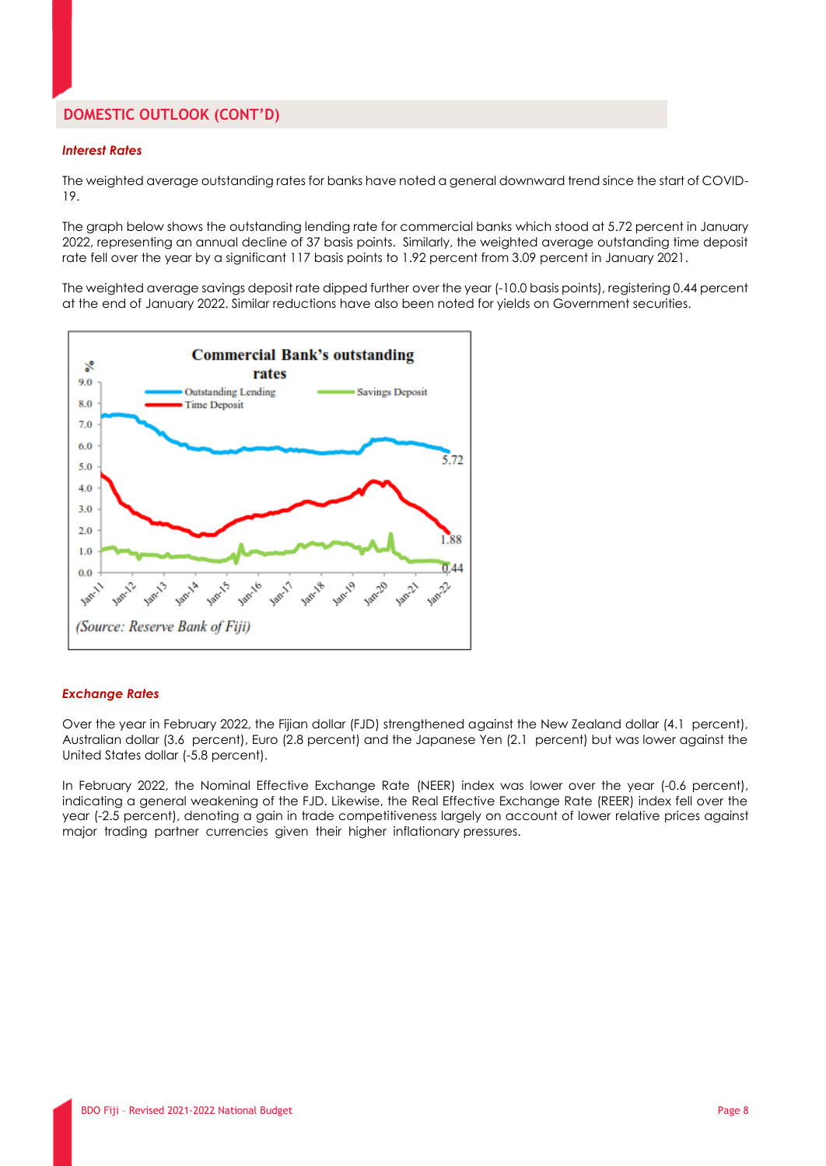## **DOMESTIC OUTLOOK (CONT'D)**

#### *Interest Rates*

The weighted average outstanding rates for banks have noted a general downward trend since the start of COVID-19.

The graph below shows the outstanding lending rate for commercial banks which stood at 5.72 percent in January 2022, representing an annual decline of 37 basis points. Similarly, the weighted average outstanding time deposit rate fell over the year by a significant 117 basis points to 1.92 percent from 3.09 percent in January 2021.

The weighted average savings deposit rate dipped further over the year (-10.0 basis points), registering 0.44 percent at the end of January 2022. Similar reductions have also been noted for yields on Government securities.



#### *Exchange Rates*

Over the year in February 2022, the Fijian dollar (FJD) strengthened against the New Zealand dollar (4.1 percent), Australian dollar (3.6 percent), Euro (2.8 percent) and the Japanese Yen (2.1 percent) but was lower against the United States dollar (-5.8 percent).

In February 2022, the Nominal Effective Exchange Rate (NEER) index was lower over the year (-0.6 percent), indicating a general weakening of the FJD. Likewise, the Real Effective Exchange Rate (REER) index fell over the year (-2.5 percent), denoting a gain in trade competitiveness largely on account of lower relative prices against major trading partner currencies given their higher inflationary pressures.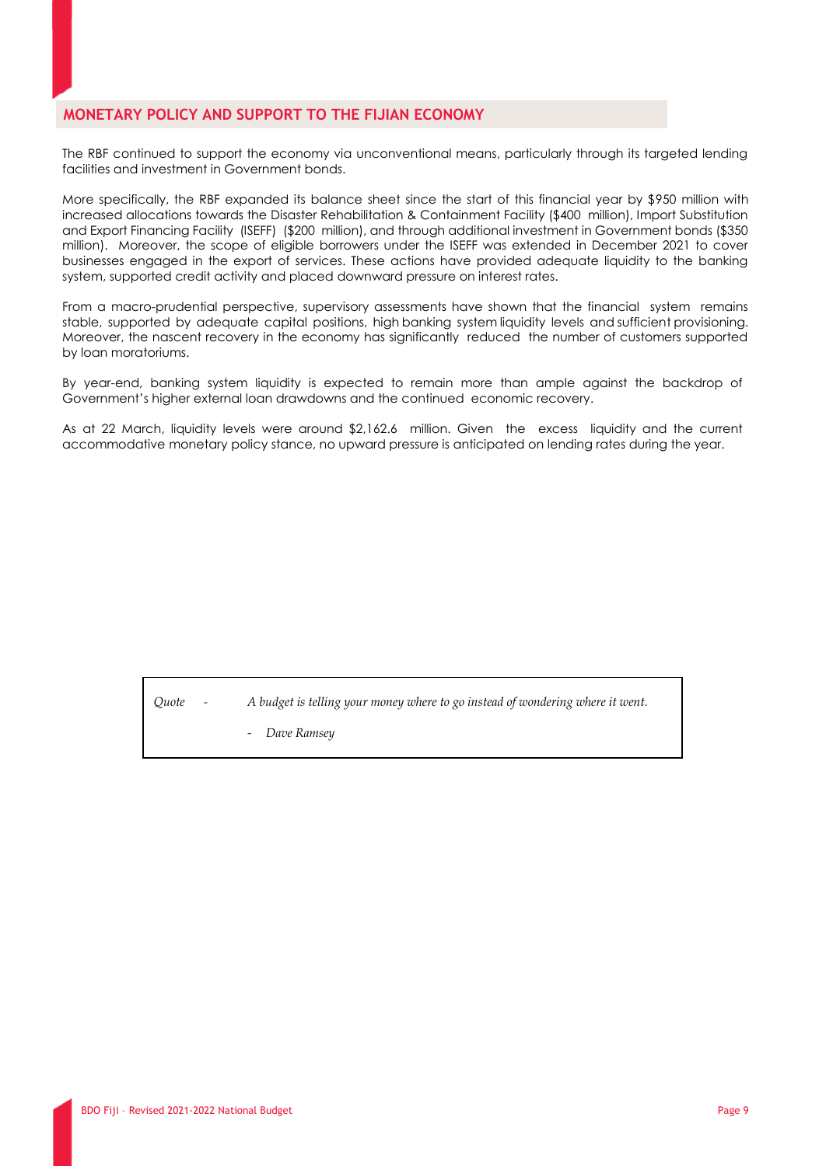## **MONETARY POLICY AND SUPPORT TO THE FIJIAN ECONOMY**

The RBF continued to support the economy via unconventional means, particularly through its targeted lending facilities and investment in Government bonds.

More specifically, the RBF expanded its balance sheet since the start of this financial year by \$950 million with increased allocations towards the Disaster Rehabilitation & Containment Facility (\$400 million), Import Substitution and Export Financing Facility (ISEFF) (\$200 million), and through additional investment in Government bonds (\$350 million). Moreover, the scope of eligible borrowers under the ISEFF was extended in December 2021 to cover businesses engaged in the export of services. These actions have provided adequate liquidity to the banking system, supported credit activity and placed downward pressure on interest rates.

From a macro-prudential perspective, supervisory assessments have shown that the financial system remains stable, supported by adequate capital positions, high banking system liquidity levels and sufficient provisioning. Moreover, the nascent recovery in the economy has significantly reduced the number of customers supported by loan moratoriums.

By year-end, banking system liquidity is expected to remain more than ample against the backdrop of Government's higher external loan drawdowns and the continued economic recovery.

As at 22 March, liquidity levels were around \$2,162.6 million. Given the excess liquidity and the current accommodative monetary policy stance, no upward pressure is anticipated on lending rates during the year.

*Quote - A budget is telling your money where to go instead of wondering where it went.*

- *Dave Ramsey*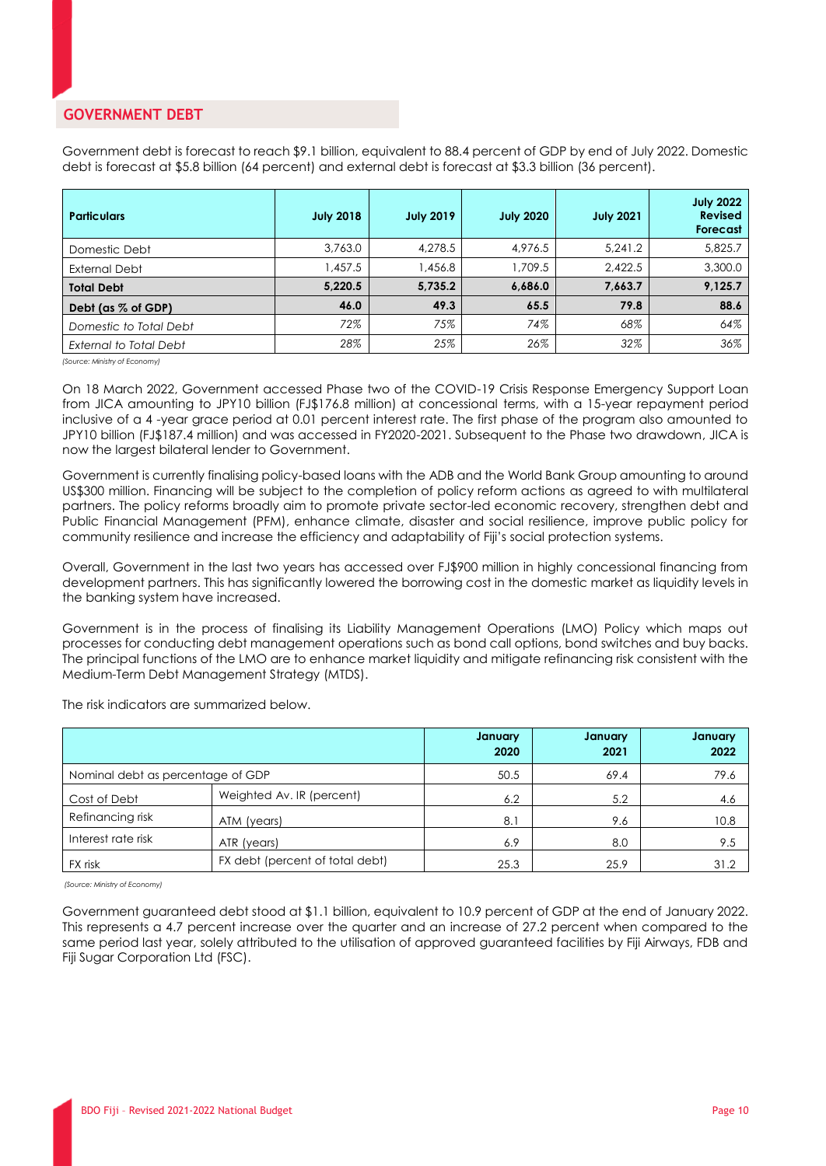## **GOVERNMENT DEBT**

Government debt is forecast to reach \$9.1 billion, equivalent to 88.4 percent of GDP by end of July 2022. Domestic debt is forecast at \$5.8 billion (64 percent) and external debt is forecast at \$3.3 billion (36 percent).

| <b>Particulars</b>            | <b>July 2018</b> | <b>July 2019</b> | <b>July 2020</b> | <b>July 2021</b> | <b>July 2022</b><br><b>Revised</b><br>Forecast |
|-------------------------------|------------------|------------------|------------------|------------------|------------------------------------------------|
| Domestic Debt                 | 3,763.0          | 4,278.5          | 4.976.5          | 5.241.2          | 5,825.7                                        |
| <b>External Debt</b>          | 1,457.5          | 1,456.8          | 1.709.5          | 2.422.5          | 3,300.0                                        |
| <b>Total Debt</b>             | 5,220.5          | 5,735.2          | 6,686.0          | 7,663.7          | 9,125.7                                        |
| Debt (as % of GDP)            | 46.0             | 49.3             | 65.5             | 79.8             | 88.6                                           |
| Domestic to Total Debt        | 72%              | 75%              | 74%              | 68%              | 64%                                            |
| <b>External to Total Debt</b> | 28%              | 25%              | 26%              | 32%              | 36%                                            |

 *(Source: Ministry of Economy)*

On 18 March 2022, Government accessed Phase two of the COVID-19 Crisis Response Emergency Support Loan from JICA amounting to JPY10 billion (FJ\$176.8 million) at concessional terms, with a 15-year repayment period inclusive of a 4 -year grace period at 0.01 percent interest rate. The first phase of the program also amounted to JPY10 billion (FJ\$187.4 million) and was accessed in FY2020-2021. Subsequent to the Phase two drawdown, JICA is now the largest bilateral lender to Government.

Government is currently finalising policy-based loans with the ADB and the World Bank Group amounting to around US\$300 million. Financing will be subject to the completion of policy reform actions as agreed to with multilateral partners. The policy reforms broadly aim to promote private sector-led economic recovery, strengthen debt and Public Financial Management (PFM), enhance climate, disaster and social resilience, improve public policy for community resilience and increase the efficiency and adaptability of Fiji's social protection systems.

Overall, Government in the last two years has accessed over FJ\$900 million in highly concessional financing from development partners. This has significantly lowered the borrowing cost in the domestic market as liquidity levels in the banking system have increased.

Government is in the process of finalising its Liability Management Operations (LMO) Policy which maps out processes for conducting debt management operations such as bond call options, bond switches and buy backs. The principal functions of the LMO are to enhance market liquidity and mitigate refinancing risk consistent with the Medium-Term Debt Management Strategy (MTDS).

The risk indicators are summarized below.

|                                   |                                 | January<br>2020 | January<br>2021 | January<br>2022 |
|-----------------------------------|---------------------------------|-----------------|-----------------|-----------------|
| Nominal debt as percentage of GDP |                                 | 50.5            | 69.4            | 79.6            |
| Cost of Debt                      | Weighted Av. IR (percent)       | 6.2             | 5.2             | 4.6             |
| Refinancing risk                  | ATM (years)                     | 8.3             | 9.6             | 10.8            |
| Interest rate risk                | ATR (years)                     | 6.9             | 8.0             | 9.5             |
| FX risk                           | FX debt (percent of total debt) | 25.3            | 25.9            | 31.2            |

 *(Source: Ministry of Economy)*

Government guaranteed debt stood at \$1.1 billion, equivalent to 10.9 percent of GDP at the end of January 2022. This represents a 4.7 percent increase over the quarter and an increase of 27.2 percent when compared to the same period last year, solely attributed to the utilisation of approved guaranteed facilities by Fiji Airways, FDB and Fiji Sugar Corporation Ltd (FSC).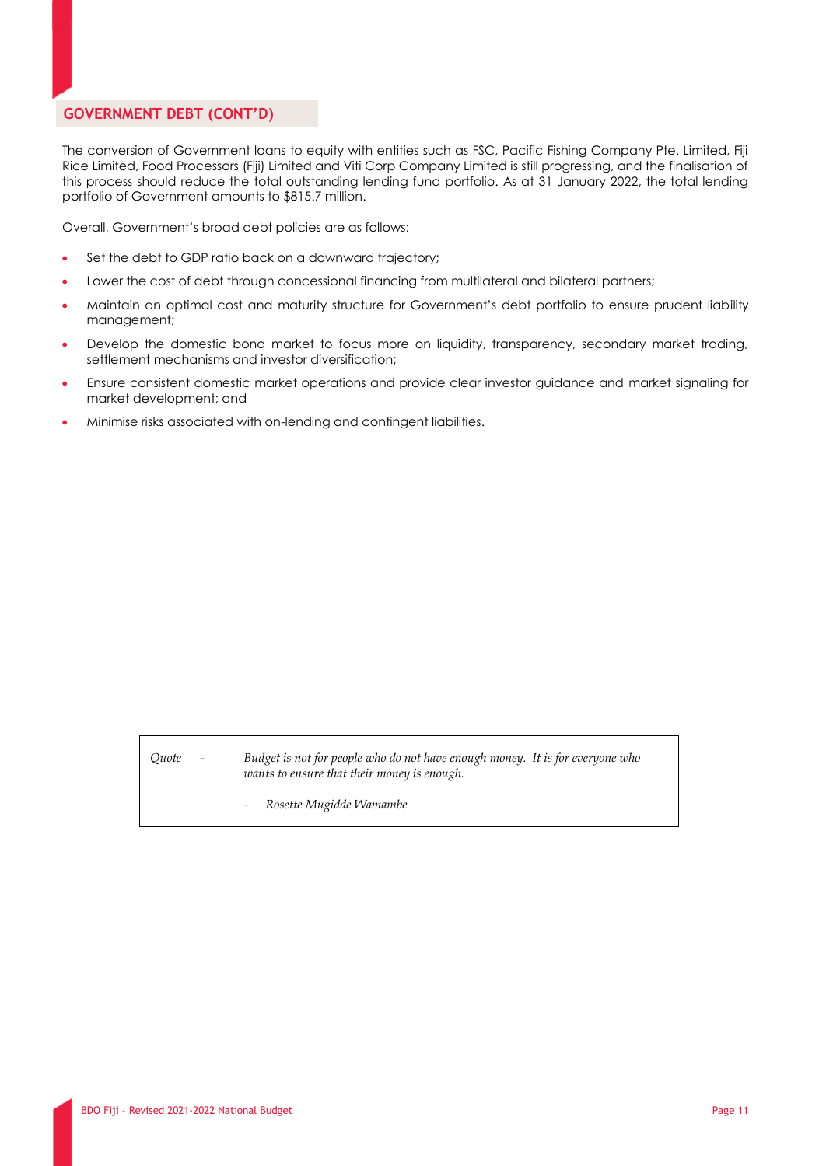## **GOVERNMENT DEBT (CONT'D)**

The conversion of Government loans to equity with entities such as FSC, Pacific Fishing Company Pte. Limited, Fiji Rice Limited, Food Processors (Fiji) Limited and Viti Corp Company Limited is still progressing, and the finalisation of this process should reduce the total outstanding lending fund portfolio. As at 31 January 2022, the total lending portfolio of Government amounts to \$815.7 million.

Overall, Government's broad debt policies are as follows:

- Set the debt to GDP ratio back on a downward trajectory;
- Lower the cost of debt through concessional financing from multilateral and bilateral partners;
- Maintain an optimal cost and maturity structure for Government's debt portfolio to ensure prudent liability management;
- Develop the domestic bond market to focus more on liquidity, transparency, secondary market trading, settlement mechanisms and investor diversification;
- Ensure consistent domestic market operations and provide clear investor guidance and market signaling for market development; and
- Minimise risks associated with on-lending and contingent liabilities.

*Quote - Budget is not for people who do not have enough money. It is for everyone who wants to ensure that their money is enough.*

- *Rosette Mugidde Wamambe*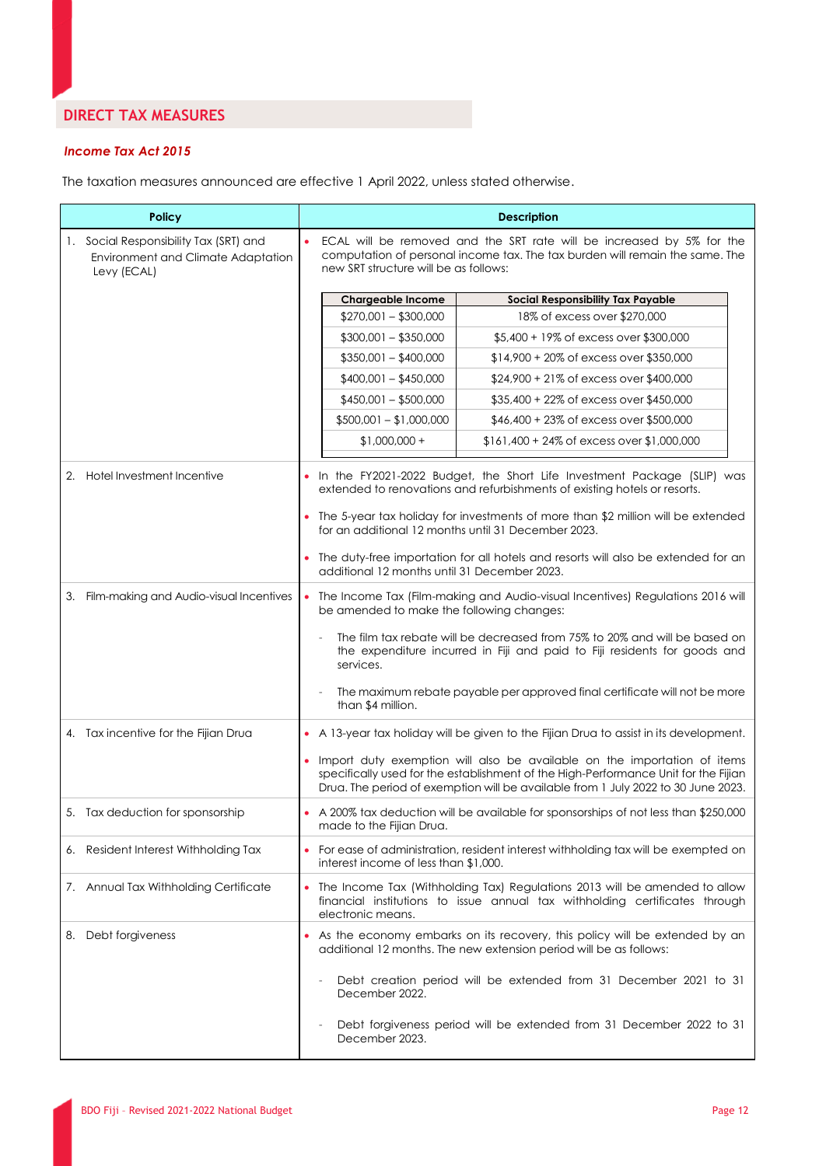## **DIRECT TAX MEASURES**

#### *Income Tax Act 2015*

The taxation measures announced are effective 1 April 2022, unless stated otherwise.

| <b>Policy</b>                                                                               | <b>Description</b>                                                                                                                                                                                                                                   |  |  |
|---------------------------------------------------------------------------------------------|------------------------------------------------------------------------------------------------------------------------------------------------------------------------------------------------------------------------------------------------------|--|--|
| 1. Social Responsibility Tax (SRT) and<br>Environment and Climate Adaptation<br>Levy (ECAL) | ECAL will be removed and the SRT rate will be increased by 5% for the<br>computation of personal income tax. The tax burden will remain the same. The<br>new SRT structure will be as follows:                                                       |  |  |
|                                                                                             | <b>Chargeable Income</b><br><b>Social Responsibility Tax Payable</b>                                                                                                                                                                                 |  |  |
|                                                                                             | $$270,001 - $300,000$<br>18% of excess over \$270,000                                                                                                                                                                                                |  |  |
|                                                                                             | $$300,001 - $350,000$<br>\$5,400 + 19% of excess over \$300,000                                                                                                                                                                                      |  |  |
|                                                                                             | $$350,001 - $400,000$<br>\$14,900 + 20% of excess over \$350,000                                                                                                                                                                                     |  |  |
|                                                                                             | $$400,001 - $450,000$<br>\$24,900 + 21% of excess over \$400,000                                                                                                                                                                                     |  |  |
|                                                                                             | $$450,001 - $500,000$<br>\$35,400 + 22% of excess over \$450,000                                                                                                                                                                                     |  |  |
|                                                                                             | $$500,001 - $1,000,000$<br>\$46,400 + 23% of excess over \$500,000                                                                                                                                                                                   |  |  |
|                                                                                             | \$161,400 + 24% of excess over \$1,000,000<br>$$1,000,000 +$                                                                                                                                                                                         |  |  |
| 2. Hotel Investment Incentive                                                               | In the FY2021-2022 Budget, the Short Life Investment Package (SLIP) was<br>extended to renovations and refurbishments of existing hotels or resorts.<br>The 5-year tax holiday for investments of more than \$2 million will be extended             |  |  |
|                                                                                             | for an additional 12 months until 31 December 2023.                                                                                                                                                                                                  |  |  |
|                                                                                             | The duty-free importation for all hotels and resorts will also be extended for an<br>additional 12 months until 31 December 2023.                                                                                                                    |  |  |
| 3. Film-making and Audio-visual Incentives                                                  | The Income Tax (Film-making and Audio-visual Incentives) Regulations 2016 will<br>be amended to make the following changes:                                                                                                                          |  |  |
|                                                                                             | The film tax rebate will be decreased from 75% to 20% and will be based on<br>the expenditure incurred in Fiji and paid to Fiji residents for goods and<br>services.                                                                                 |  |  |
|                                                                                             | The maximum rebate payable per approved final certificate will not be more<br>than \$4 million.                                                                                                                                                      |  |  |
| 4. Tax incentive for the Fijian Drua                                                        | • A 13-year tax holiday will be given to the Fijian Drua to assist in its development.                                                                                                                                                               |  |  |
|                                                                                             | Import duty exemption will also be available on the importation of items<br>specifically used for the establishment of the High-Performance Unit for the Fijian<br>Drua. The period of exemption will be available from 1 July 2022 to 30 June 2023. |  |  |
| 5. Tax deduction for sponsorship                                                            | A 200% tax deduction will be available for sponsorships of not less than \$250,000<br>made to the Fijian Drua.                                                                                                                                       |  |  |
| 6. Resident Interest Withholding Tax                                                        | For ease of administration, resident interest withholding tax will be exempted on<br>interest income of less than \$1,000.                                                                                                                           |  |  |
| 7. Annual Tax Withholding Certificate                                                       | The Income Tax (Withholding Tax) Regulations 2013 will be amended to allow<br>$\bullet$<br>financial institutions to issue annual tax withholding certificates through<br>electronic means.                                                          |  |  |
| 8. Debt forgiveness                                                                         | As the economy embarks on its recovery, this policy will be extended by an<br>additional 12 months. The new extension period will be as follows:                                                                                                     |  |  |
|                                                                                             | Debt creation period will be extended from 31 December 2021 to 31<br>December 2022.                                                                                                                                                                  |  |  |
|                                                                                             | Debt forgiveness period will be extended from 31 December 2022 to 31<br>December 2023.                                                                                                                                                               |  |  |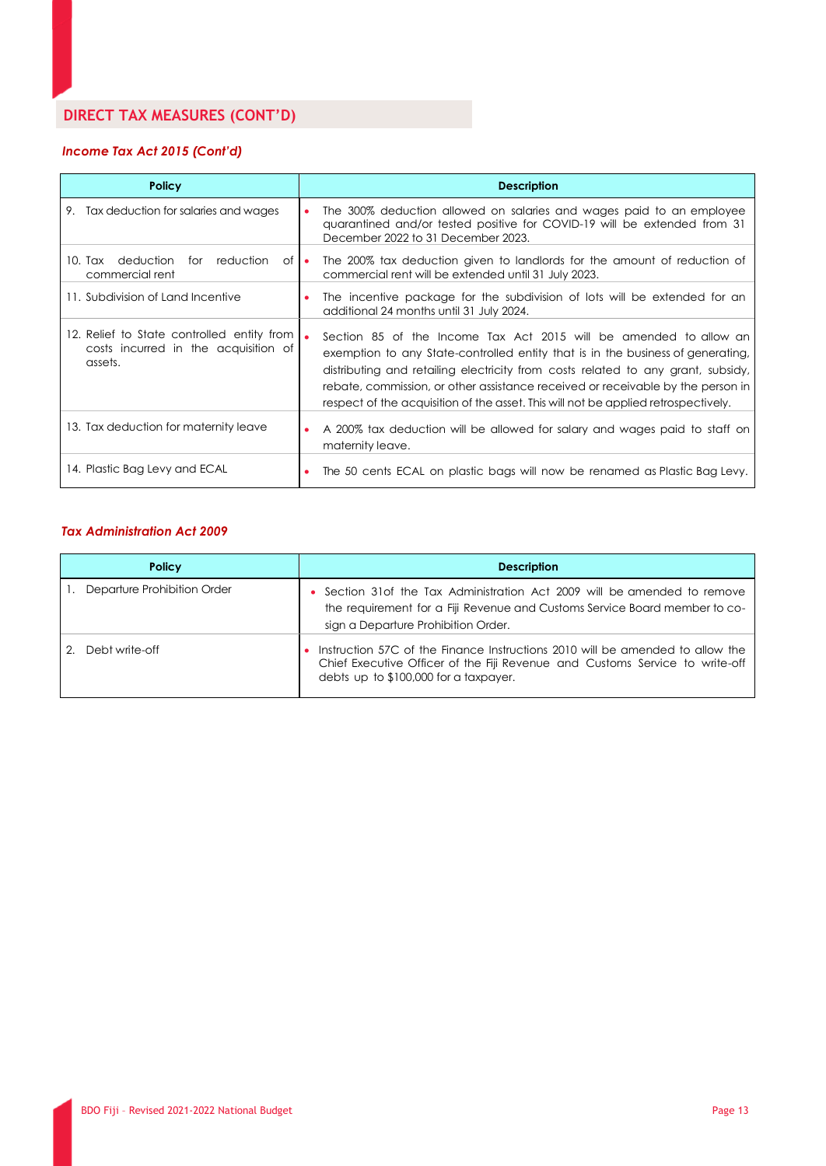# **DIRECT TAX MEASURES (CONT'D)**

## *Income Tax Act 2015 (Cont'd)*

| <b>Policy</b>                                                                                   | <b>Description</b>                                                                                                                                                                                                                                                                                                                                                                                                |
|-------------------------------------------------------------------------------------------------|-------------------------------------------------------------------------------------------------------------------------------------------------------------------------------------------------------------------------------------------------------------------------------------------------------------------------------------------------------------------------------------------------------------------|
| 9. Tax deduction for salaries and wages                                                         | The 300% deduction allowed on salaries and wages paid to an employee<br>quarantined and/or tested positive for COVID-19 will be extended from 31<br>December 2022 to 31 December 2023.                                                                                                                                                                                                                            |
| 10. Tax deduction<br>for reduction<br>$of \bullet$<br>commercial rent                           | The 200% tax deduction given to landlords for the amount of reduction of<br>commercial rent will be extended until 31 July 2023.                                                                                                                                                                                                                                                                                  |
| 11. Subdivision of Land Incentive                                                               | The incentive package for the subdivision of lots will be extended for an<br>additional 24 months until 31 July 2024.                                                                                                                                                                                                                                                                                             |
| 12. Relief to State controlled entity from  <br>costs incurred in the acquisition of<br>assets. | Section 85 of the Income Tax Act 2015 will be amended to allow an<br>exemption to any State-controlled entity that is in the business of generating,<br>distributing and retailing electricity from costs related to any grant, subsidy,<br>rebate, commission, or other assistance received or receivable by the person in<br>respect of the acquisition of the asset. This will not be applied retrospectively. |
| 13. Tax deduction for maternity leave                                                           | A 200% tax deduction will be allowed for salary and wages paid to staff on<br>maternity leave.                                                                                                                                                                                                                                                                                                                    |
| 14. Plastic Bag Levy and ECAL                                                                   | The 50 cents ECAL on plastic bags will now be renamed as Plastic Bag Levy.                                                                                                                                                                                                                                                                                                                                        |

#### *Tax Administration Act 2009*

| <b>Policy</b>               | <b>Description</b>                                                                                                                                                                                     |
|-----------------------------|--------------------------------------------------------------------------------------------------------------------------------------------------------------------------------------------------------|
| Departure Prohibition Order | Section 31 of the Tax Administration Act 2009 will be amended to remove<br>the requirement for a Fiji Revenue and Customs Service Board member to co-<br>sign a Departure Prohibition Order.           |
| Debt write-off              | Instruction 57C of the Finance Instructions 2010 will be amended to allow the<br>Chief Executive Officer of the Fiji Revenue and Customs Service to write-off<br>debts up to \$100,000 for a taxpayer. |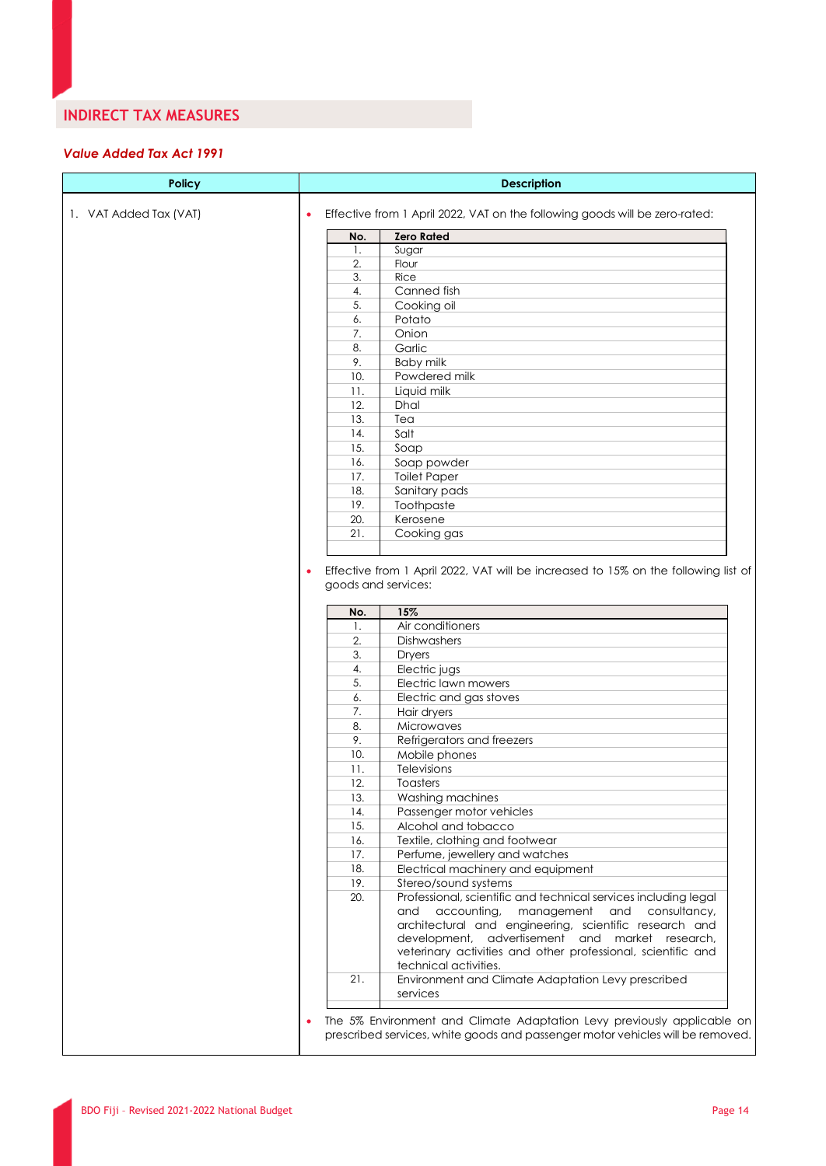## **INDIRECT TAX MEASURES**

## *Value Added Tax Act 1991*

| 1. VAT Added Tax (VAT) |           | Effective from 1 April 2022, VAT on the following goods will be zero-rated:                                                                 |
|------------------------|-----------|---------------------------------------------------------------------------------------------------------------------------------------------|
|                        |           |                                                                                                                                             |
|                        | No.       | <b>Zero Rated</b>                                                                                                                           |
|                        | 1.        | Sugar                                                                                                                                       |
|                        | 2.        | Flour                                                                                                                                       |
|                        | 3.        | Rice                                                                                                                                        |
|                        | 4.        | Canned fish                                                                                                                                 |
|                        | 5.        | Cooking oil                                                                                                                                 |
|                        | 6.        | Potato                                                                                                                                      |
|                        | 7.        | Onion                                                                                                                                       |
|                        | 8.        | Garlic                                                                                                                                      |
|                        | 9.        | <b>Baby milk</b>                                                                                                                            |
|                        | 10.       | Powdered milk                                                                                                                               |
|                        | 11.       | Liquid milk                                                                                                                                 |
|                        | 12.       | Dhal                                                                                                                                        |
|                        | 13.       | Tea                                                                                                                                         |
|                        | 14.       | Salt                                                                                                                                        |
|                        | 15.       | Soap                                                                                                                                        |
|                        | 16.       | Soap powder                                                                                                                                 |
|                        | 17.       | <b>Toilet Paper</b>                                                                                                                         |
|                        | 18.       | Sanitary pads                                                                                                                               |
|                        | 19.       | Toothpaste                                                                                                                                  |
|                        | 20.       | Kerosene                                                                                                                                    |
|                        | 21.       | Cooking gas                                                                                                                                 |
|                        | No.<br>1. | 15%<br>Air conditioners                                                                                                                     |
|                        | 2.        | Dishwashers                                                                                                                                 |
|                        | 3.        | <b>Dryers</b>                                                                                                                               |
|                        | 4.        |                                                                                                                                             |
|                        |           |                                                                                                                                             |
|                        | 5.        | Electric jugs                                                                                                                               |
|                        | 6.        | Electric lawn mowers                                                                                                                        |
|                        | 7.        | Electric and gas stoves                                                                                                                     |
|                        | 8.        | Hair dryers<br>Microwaves                                                                                                                   |
|                        | 9.        | Refrigerators and freezers                                                                                                                  |
|                        | 10.       | Mobile phones                                                                                                                               |
|                        | 11.       | Televisions                                                                                                                                 |
|                        | 12.       | Toasters                                                                                                                                    |
|                        | 13.       | Washing machines                                                                                                                            |
|                        | 14.       | Passenger motor vehicles                                                                                                                    |
|                        | 15.       | Alcohol and tobacco                                                                                                                         |
|                        | 16.       | Textile, clothing and footwear                                                                                                              |
|                        | 17.       | Perfume, jewellery and watches                                                                                                              |
|                        | 18.       | Electrical machinery and equipment                                                                                                          |
|                        | 19.       | Stereo/sound systems                                                                                                                        |
|                        | 20.       | Professional, scientific and technical services including legal                                                                             |
|                        |           | and<br>accounting,<br>management<br>and<br>consultancy,<br>architectural and engineering, scientific research and                           |
|                        |           | development, advertisement and market research,                                                                                             |
|                        |           | veterinary activities and other professional, scientific and<br>technical activities.<br>Environment and Climate Adaptation Levy prescribed |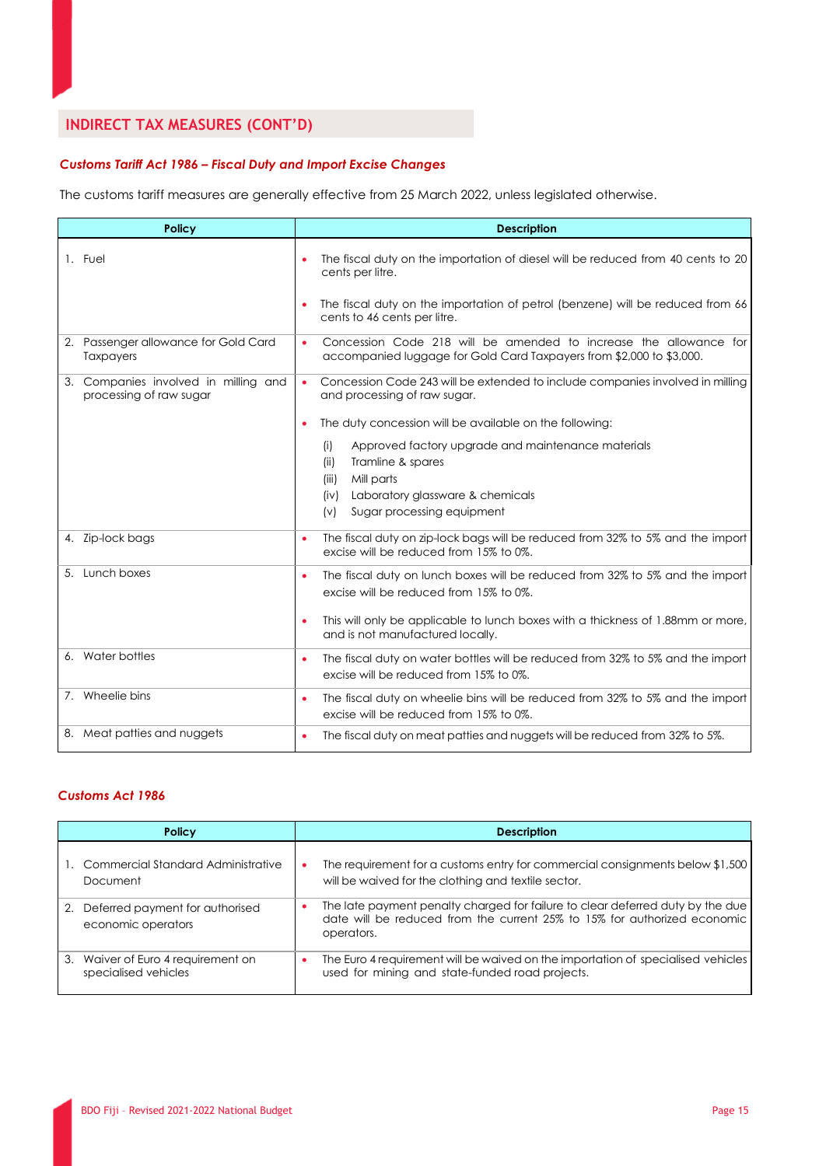# **INDIRECT TAX MEASURES (CONT'D)**

## *Customs Tariff Act 1986 – Fiscal Duty and Import Excise Changes*

The customs tariff measures are generally effective from 25 March 2022, unless legislated otherwise.

| <b>Policy</b>                                                   | <b>Description</b>                                                                                                                                        |
|-----------------------------------------------------------------|-----------------------------------------------------------------------------------------------------------------------------------------------------------|
| 1. Fuel                                                         | The fiscal duty on the importation of diesel will be reduced from 40 cents to 20<br>٠<br>cents per litre.                                                 |
|                                                                 | The fiscal duty on the importation of petrol (benzene) will be reduced from 66<br>cents to 46 cents per litre.                                            |
| 2. Passenger allowance for Gold Card<br><b>Taxpayers</b>        | Concession Code 218 will be amended to increase the allowance for<br>$\bullet$<br>accompanied luggage for Gold Card Taxpayers from \$2,000 to \$3,000.    |
| 3. Companies involved in milling and<br>processing of raw sugar | Concession Code 243 will be extended to include companies involved in milling<br>$\bullet$<br>and processing of raw sugar.                                |
|                                                                 | The duty concession will be available on the following:<br>٠                                                                                              |
|                                                                 | Approved factory upgrade and maintenance materials<br>(i)<br>Tramline & spares<br>(ii)<br>Mill parts<br>(iii)<br>Laboratory glassware & chemicals<br>(iv) |
|                                                                 | Sugar processing equipment<br>(v)                                                                                                                         |
| 4. Zip-lock bags                                                | The fiscal duty on zip-lock bags will be reduced from 32% to 5% and the import<br>$\bullet$<br>excise will be reduced from 15% to 0%.                     |
| 5. Lunch boxes                                                  | The fiscal duty on lunch boxes will be reduced from 32% to 5% and the import<br>$\bullet$<br>excise will be reduced from 15% to 0%.                       |
|                                                                 | This will only be applicable to lunch boxes with a thickness of 1.88mm or more,<br>٠<br>and is not manufactured locally.                                  |
| 6. Water bottles                                                | The fiscal duty on water bottles will be reduced from 32% to 5% and the import<br>$\bullet$<br>excise will be reduced from 15% to 0%.                     |
| 7. Wheelie bins                                                 | The fiscal duty on wheelie bins will be reduced from 32% to 5% and the import<br>$\bullet$<br>excise will be reduced from 15% to 0%.                      |
| 8. Meat patties and nuggets                                     | The fiscal duty on meat patties and nuggets will be reduced from 32% to 5%.<br>۰                                                                          |

## *Customs Act 1986*

| <b>Policy</b>                                            | <b>Description</b>                                                                                                                                                       |
|----------------------------------------------------------|--------------------------------------------------------------------------------------------------------------------------------------------------------------------------|
| 1. Commercial Standard Administrative                    | The requirement for a customs entry for commercial consignments below $$1,500$                                                                                           |
| Document                                                 | will be waived for the clothing and textile sector.                                                                                                                      |
| 2. Deferred payment for authorised<br>economic operators | The late payment penalty charged for failure to clear deferred duty by the due<br>date will be reduced from the current 25% to 15% for authorized economic<br>operators. |
| 3. Waiver of Euro 4 requirement on                       | The Euro 4 requirement will be waived on the importation of specialised vehicles                                                                                         |
| specialised vehicles                                     | used for mining and state-funded road projects.                                                                                                                          |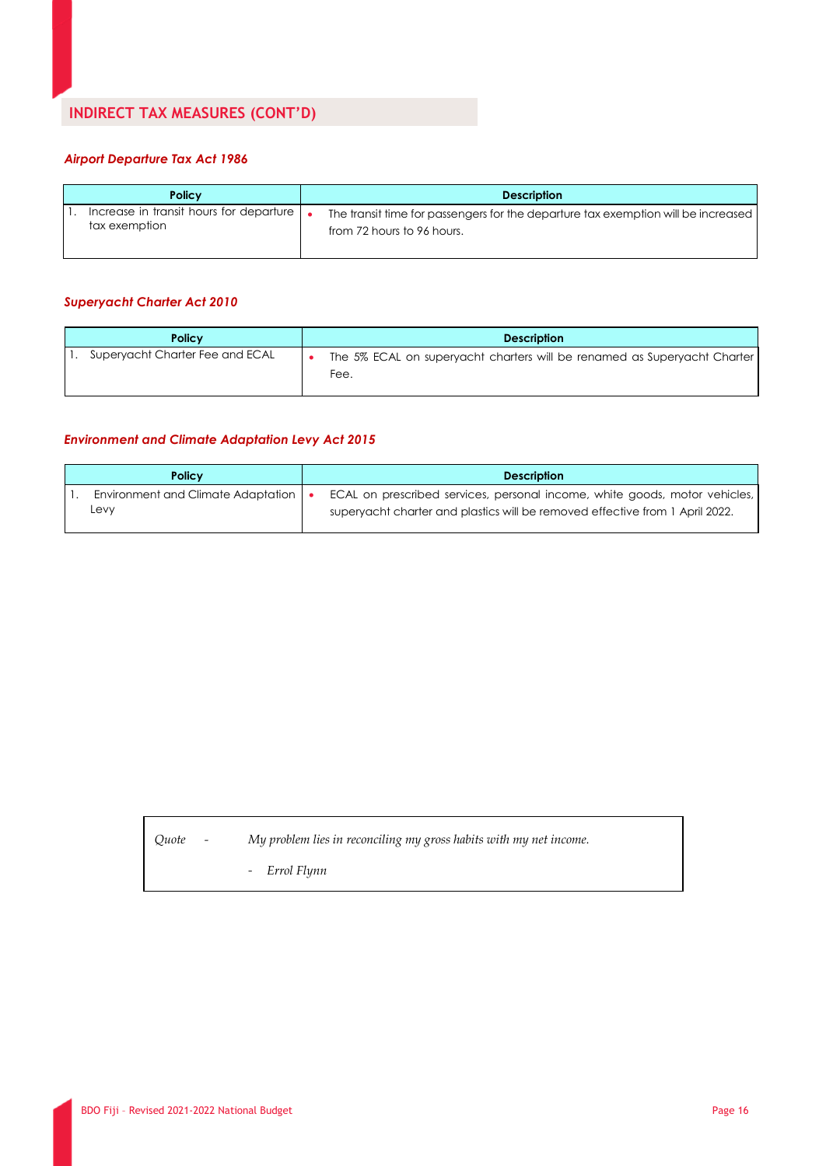## *Airport Departure Tax Act 1986*

| <b>Policy</b>                           | <b>Description</b>                                                                |
|-----------------------------------------|-----------------------------------------------------------------------------------|
| Increase in transit hours for departure | The transit time for passengers for the departure tax exemption will be increased |
| tax exemption                           | from 72 hours to 96 hours.                                                        |

## *Superyacht Charter Act 2010*

| <b>Policy</b>                   | <b>Description</b>                                                               |
|---------------------------------|----------------------------------------------------------------------------------|
| Superyacht Charter Fee and ECAL | The 5% ECAL on superyacht charters will be renamed as Superyacht Charter<br>Fee. |

## *Environment and Climate Adaptation Levy Act 2015*

| <b>Policy</b>                      | <b>Description</b>                                                           |
|------------------------------------|------------------------------------------------------------------------------|
| Environment and Climate Adaptation | ECAL on prescribed services, personal income, white goods, motor vehicles,   |
| Levv                               | superyacht charter and plastics will be removed effective from 1 April 2022. |

*Quote - My problem lies in reconciling my gross habits with my net income.*

- *Errol Flynn*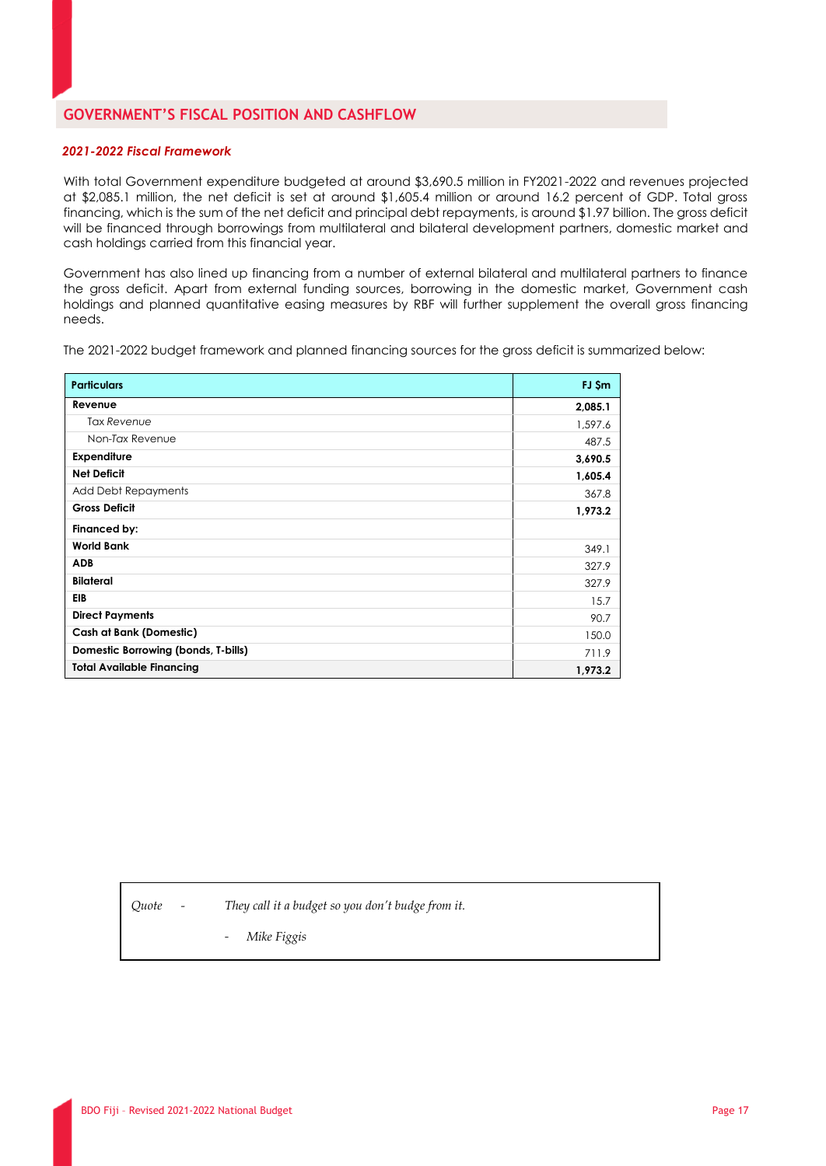## **GOVERNMENT'S FISCAL POSITION AND CASHFLOW**

#### *2021-2022 Fiscal Framework*

With total Government expenditure budgeted at around \$3,690.5 million in FY2021-2022 and revenues projected at \$2,085.1 million, the net deficit is set at around \$1,605.4 million or around 16.2 percent of GDP. Total gross financing, which is the sum of the net deficit and principal debt repayments, is around \$1.97 billion. The gross deficit will be financed through borrowings from multilateral and bilateral development partners, domestic market and cash holdings carried from this financial year.

Government has also lined up financing from a number of external bilateral and multilateral partners to finance the gross deficit. Apart from external funding sources, borrowing in the domestic market, Government cash holdings and planned quantitative easing measures by RBF will further supplement the overall gross financing needs.

The 2021-2022 budget framework and planned financing sources for the gross deficit is summarized below:

| <b>Particulars</b>                  | FJ \$m  |
|-------------------------------------|---------|
| Revenue                             | 2,085.1 |
| Tax Revenue                         | 1,597.6 |
| Non-Tax Revenue                     | 487.5   |
| <b>Expenditure</b>                  | 3,690.5 |
| <b>Net Deficit</b>                  | 1,605.4 |
| <b>Add Debt Repayments</b>          | 367.8   |
| <b>Gross Deficit</b>                | 1,973.2 |
| Financed by:                        |         |
| <b>World Bank</b>                   | 349.1   |
| <b>ADB</b>                          | 327.9   |
| <b>Bilateral</b>                    | 327.9   |
| EIB                                 | 15.7    |
| <b>Direct Payments</b>              | 90.7    |
| <b>Cash at Bank (Domestic)</b>      | 150.0   |
| Domestic Borrowing (bonds, T-bills) | 711.9   |
| <b>Total Available Financing</b>    | 1,973.2 |

*Quote - They call it a budget so you don't budge from it.*

- *Mike Figgis*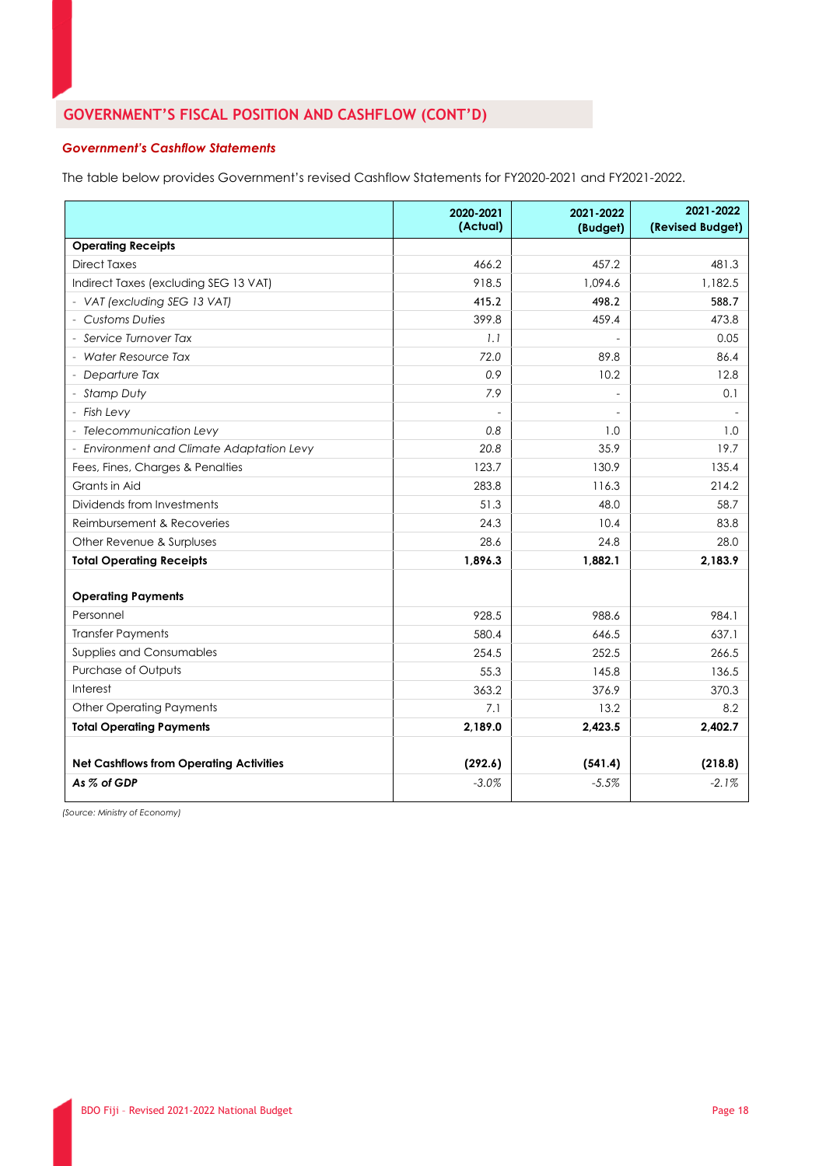# **GOVERNMENT'S FISCAL POSITION AND CASHFLOW (CONT'D)**

## *Government's Cashflow Statements*

The table below provides Government's revised Cashflow Statements for FY2020-2021 and FY2021-2022.

|                                                | 2020-2021<br>(Actual) | 2021-2022<br>(Budget)    | 2021-2022<br>(Revised Budget) |
|------------------------------------------------|-----------------------|--------------------------|-------------------------------|
| <b>Operating Receipts</b>                      |                       |                          |                               |
| <b>Direct Taxes</b>                            | 466.2                 | 457.2                    | 481.3                         |
| Indirect Taxes (excluding SEG 13 VAT)          | 918.5                 | 1.094.6                  | 1,182.5                       |
| - VAT (excluding SEG 13 VAT)                   | 415.2                 | 498.2                    | 588.7                         |
| - Customs Duties                               | 399.8                 | 459.4                    | 473.8                         |
| - Service Turnover Tax                         | 1.1                   |                          | 0.05                          |
| - Water Resource Tax                           | 72.0                  | 89.8                     | 86.4                          |
| - Departure Tax                                | 0.9                   | 10.2                     | 12.8                          |
| - Stamp Duty                                   | 7.9                   | $\overline{\phantom{a}}$ | 0.1                           |
| - Fish Levy                                    | $\overline{a}$        |                          |                               |
| - Telecommunication Levy                       | 0.8                   | 1.0                      | 1.0                           |
| - Environment and Climate Adaptation Levy      | 20.8                  | 35.9                     | 19.7                          |
| Fees, Fines, Charges & Penalties               | 123.7                 | 130.9                    | 135.4                         |
| Grants in Aid                                  | 283.8                 | 116.3                    | 214.2                         |
| Dividends from Investments                     | 51.3                  | 48.0                     | 58.7                          |
| Reimbursement & Recoveries                     | 24.3                  | 10.4                     | 83.8                          |
| Other Revenue & Surpluses                      | 28.6                  | 24.8                     | 28.0                          |
| <b>Total Operating Receipts</b>                | 1,896.3               | 1.882.1                  | 2,183.9                       |
| <b>Operating Payments</b>                      |                       |                          |                               |
| Personnel                                      | 928.5                 | 988.6                    | 984.1                         |
| <b>Transfer Payments</b>                       | 580.4                 | 646.5                    | 637.1                         |
| <b>Supplies and Consumables</b>                | 254.5                 | 252.5                    | 266.5                         |
| Purchase of Outputs                            | 55.3                  | 145.8                    | 136.5                         |
| Interest                                       | 363.2                 | 376.9                    | 370.3                         |
| <b>Other Operating Payments</b>                | 7.1                   | 13.2                     | 8.2                           |
| <b>Total Operating Payments</b>                | 2,189.0               | 2,423.5                  | 2,402.7                       |
|                                                |                       |                          |                               |
| <b>Net Cashflows from Operating Activities</b> | (292.6)               | (541.4)                  | (218.8)                       |
| As % of GDP                                    | $-3.0\%$              | $-5.5\%$                 | $-2.1%$                       |

*(Source: Ministry of Economy)*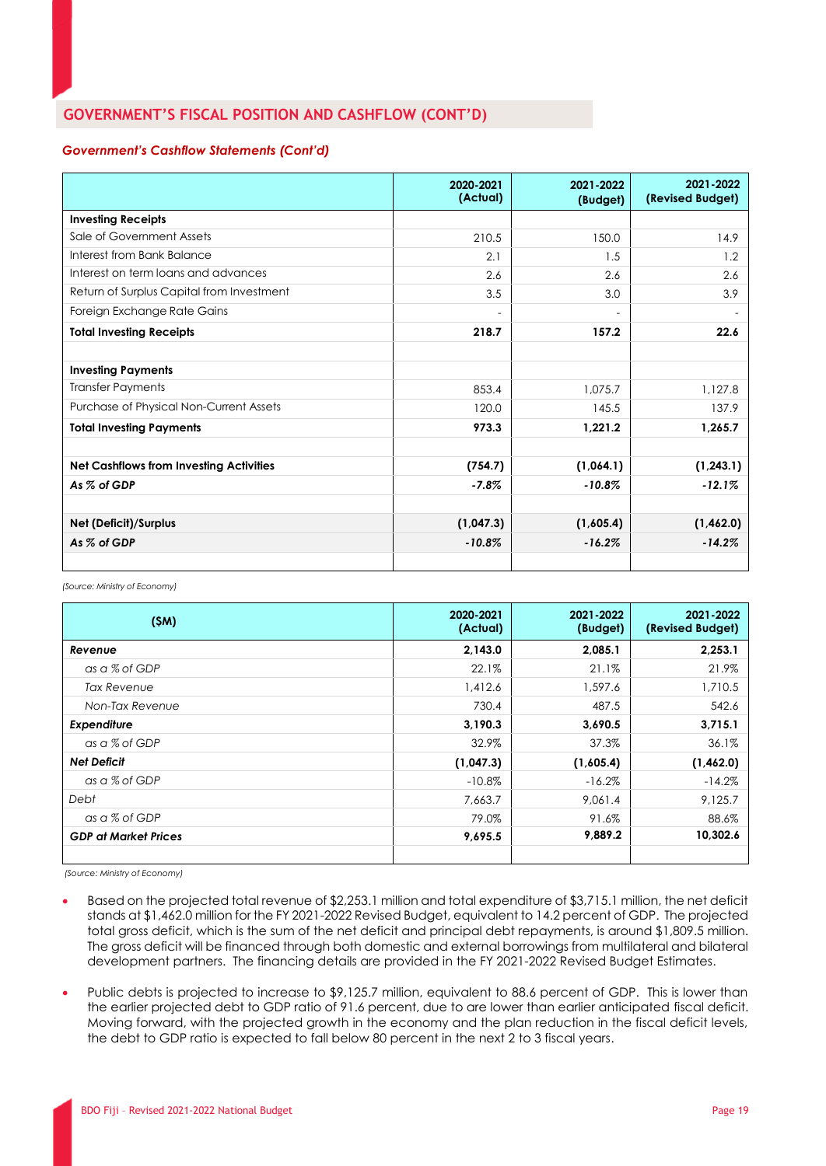## **GOVERNMENT'S FISCAL POSITION AND CASHFLOW (CONT'D)**

#### *Government's Cashflow Statements (Cont'd)*

|                                                | 2020-2021<br>(Actual)    | 2021-2022<br>(Budget) | 2021-2022<br>(Revised Budget) |
|------------------------------------------------|--------------------------|-----------------------|-------------------------------|
| <b>Investing Receipts</b>                      |                          |                       |                               |
| Sale of Government Assets                      | 210.5                    | 150.0                 | 14.9                          |
| Interest from Bank Balance                     | 2.1                      | 1.5                   | 1.2                           |
| Interest on term loans and advances            | 2.6                      | 2.6                   | 2.6                           |
| Return of Surplus Capital from Investment      | 3.5                      | 3.0                   | 3.9                           |
| Foreign Exchange Rate Gains                    | $\overline{\phantom{a}}$ | $\overline{a}$        |                               |
| <b>Total Investing Receipts</b>                | 218.7                    | 157.2                 | 22.6                          |
|                                                |                          |                       |                               |
| <b>Investing Payments</b>                      |                          |                       |                               |
| <b>Transfer Payments</b>                       | 853.4                    | 1.075.7               | 1,127.8                       |
| Purchase of Physical Non-Current Assets        | 120.0                    | 145.5                 | 137.9                         |
| <b>Total Investing Payments</b>                | 973.3                    | 1,221.2               | 1,265.7                       |
| <b>Net Cashflows from Investing Activities</b> | (754.7)                  | (1,064.1)             | (1, 243.1)                    |
| As % of GDP                                    | $-7.8%$                  | $-10.8%$              | $-12.1%$                      |
|                                                |                          |                       |                               |
| Net (Deficit)/Surplus                          | (1,047.3)                | (1,605.4)             | (1,462.0)                     |
| As % of GDP                                    | $-10.8%$                 | $-16.2%$              | $-14.2%$                      |
|                                                |                          |                       |                               |

*(Source: Ministry of Economy)*

| (SM)                        | 2020-2021<br>(Actual) | 2021-2022<br>(Budget) | 2021-2022<br>(Revised Budget) |
|-----------------------------|-----------------------|-----------------------|-------------------------------|
| Revenue                     | 2,143.0               | 2,085.1               | 2,253.1                       |
| as a % of GDP               | 22.1%                 | 21.1%                 | 21.9%                         |
| Tax Revenue                 | 1,412.6               | 1.597.6               | 1,710.5                       |
| Non-Tax Revenue             | 730.4                 | 487.5                 | 542.6                         |
| Expenditure                 | 3,190.3               | 3,690.5               | 3,715.1                       |
| as a % of GDP               | 32.9%                 | 37.3%                 | 36.1%                         |
| <b>Net Deficit</b>          | (1,047.3)             | (1,605.4)             | (1,462.0)                     |
| as a % of GDP               | $-10.8%$              | $-16.2%$              | $-14.2%$                      |
| Debt                        | 7,663.7               | 9,061.4               | 9,125.7                       |
| as a % of GDP               | 79.0%                 | 91.6%                 | 88.6%                         |
| <b>GDP</b> at Market Prices | 9,695.5               | 9,889.2               | 10,302.6                      |
|                             |                       |                       |                               |

*(Source: Ministry of Economy)*

- Based on the projected total revenue of \$2,253.1 million and total expenditure of \$3,715.1 million, the net deficit stands at \$1,462.0 million for the FY 2021-2022 Revised Budget, equivalent to 14.2 percent of GDP. The projected total gross deficit, which is the sum of the net deficit and principal debt repayments, is around \$1,809.5 million. The gross deficit will be financed through both domestic and external borrowings from multilateral and bilateral development partners. The financing details are provided in the FY 2021-2022 Revised Budget Estimates.
- Public debts is projected to increase to \$9,125.7 million, equivalent to 88.6 percent of GDP. This is lower than the earlier projected debt to GDP ratio of 91.6 percent, due to are lower than earlier anticipated fiscal deficit. Moving forward, with the projected growth in the economy and the plan reduction in the fiscal deficit levels, the debt to GDP ratio is expected to fall below 80 percent in the next 2 to 3 fiscal years.